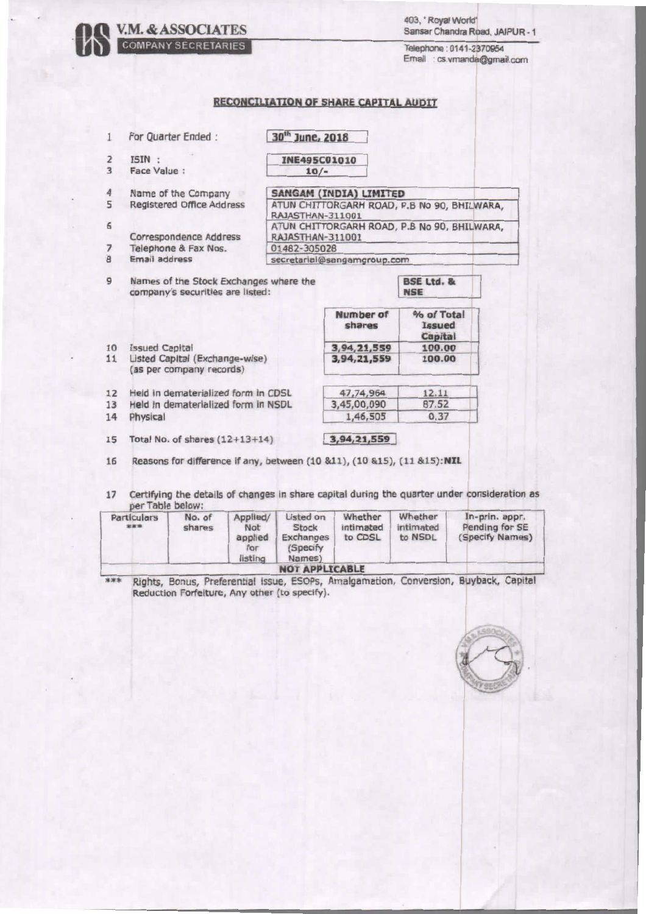| 403, Royal World'               |  |
|---------------------------------|--|
| Sansar Chandra Road, JAIPUR - 1 |  |

Telephone: 0141-2370954 Email : cs.vmanda@gmail.com

## **RECONCILIATION OF SHARE CAPITAL AUDIT**

**V.M. & ASSOCIATES** 

| 1              | For Quarter Ended:                                                                        | 30 <sup>th</sup> June, 2018                                     |                     |                                             |  |
|----------------|-------------------------------------------------------------------------------------------|-----------------------------------------------------------------|---------------------|---------------------------------------------|--|
| $\overline{2}$ | ISIN:                                                                                     | <b>INE495C01010</b>                                             |                     |                                             |  |
| 3              | Face Value:                                                                               | $10/-$                                                          |                     |                                             |  |
| 4              | Name of the Company                                                                       | <b>SANGAM (INDIA) LIMITED</b>                                   |                     |                                             |  |
| 5              | Registered Office Address                                                                 | ATUN CHITTORGARH ROAD, P.B No 90, BHILWARA,<br>RAJASTHAN-311001 |                     |                                             |  |
| 6              |                                                                                           |                                                                 |                     | ATUN CHITTORGARH ROAD, P.B No 90, BHILWARA, |  |
|                | Correspondence Address                                                                    | RAJASTHAN-311001                                                |                     |                                             |  |
| $\overline{7}$ | Telephone & Fax Nos.                                                                      | 01482-305028                                                    |                     |                                             |  |
| $\overline{8}$ | Email address                                                                             | secretarial@sangamgroup.com                                     |                     |                                             |  |
| 9              | Names of the Stock Exchanges where the<br>company's securities are listed:                |                                                                 |                     | <b>BSE Ltd. &amp;</b><br><b>NSE</b>         |  |
|                |                                                                                           |                                                                 | Number of<br>shares | % of Total<br><b>Issued</b><br>Capital      |  |
| 10             | <b>Issued Capital</b>                                                                     |                                                                 | 3,94,21,559         | 100.00                                      |  |
| 11             | Listed Capital (Exchange-wise)<br>(as per company records)                                |                                                                 | 3,94,21,559         | 100.00                                      |  |
| 12             | Held in dematerialized form in CDSL                                                       |                                                                 | 47,74,964           | 12.11                                       |  |
| 13             | Held in dematerialized form in NSDL                                                       |                                                                 | 3,45,00,090         | 87.52                                       |  |
| 14             | Physical                                                                                  |                                                                 | 1,46,505            | 0.37                                        |  |
| 15             | Total No. of shares $(12+13+14)$                                                          |                                                                 | 3,94,21,559         |                                             |  |
| 16             | Reasons for difference if any, between (10 &11), (10 &15), (11 &15):NIL                   |                                                                 |                     |                                             |  |
| 17             | Certifying the details of changes in share capital during the quarter under consideration |                                                                 |                     |                                             |  |

n as per Table below:

| Particulars<br>*** | No. of<br>shares | Applied/<br>Not<br>applied<br>for<br>listing | Listed on<br>Stock<br>Exchanges<br>(Specify<br>Names) | Whether<br>intimated<br>to CDSL | Whether<br>intimated<br>to NSDL | In-prin, appr.<br>Pending for SE<br>(Specify Names) |
|--------------------|------------------|----------------------------------------------|-------------------------------------------------------|---------------------------------|---------------------------------|-----------------------------------------------------|
|                    |                  |                                              | <b>NOT APPLICABLE</b>                                 |                                 |                                 |                                                     |

\*\*\* Rights, Bonus, Preferential issue, ESOPs, Amalgamation, Conversion, Buyback, Capital<br>Reduction Forfeiture, Any other (to specify).